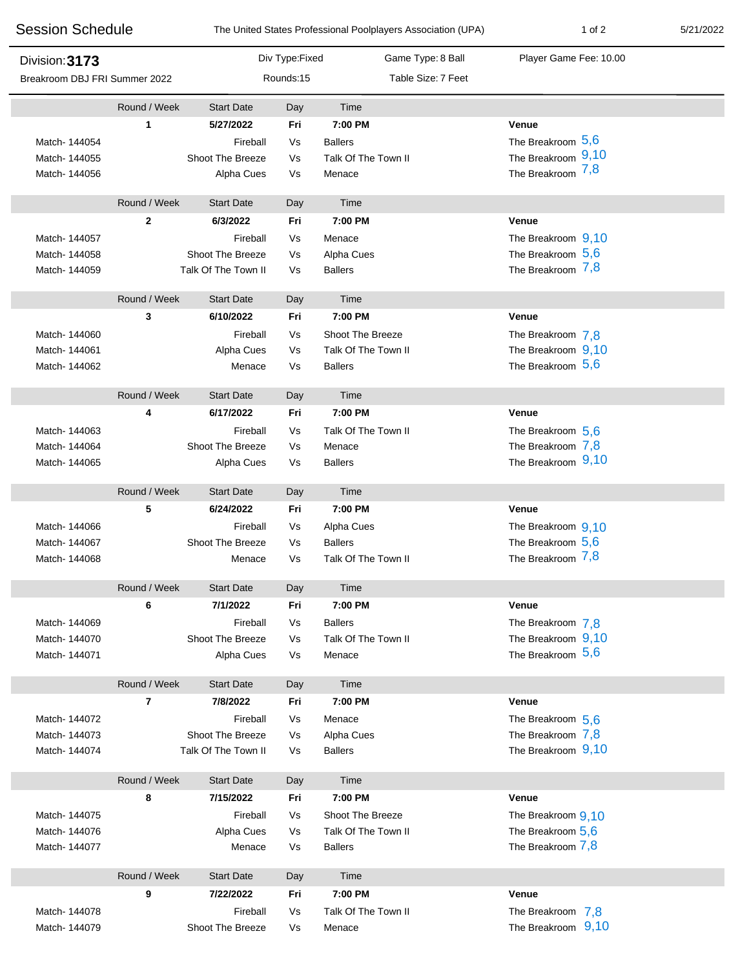| <b>Session Schedule</b>       |                | The United States Professional Poolplayers Association (UPA) |                |                     | $1$ of $2$             | 5/21/2022 |
|-------------------------------|----------------|--------------------------------------------------------------|----------------|---------------------|------------------------|-----------|
| Division: 3173                |                |                                                              | Div Type:Fixed | Game Type: 8 Ball   | Player Game Fee: 10.00 |           |
| Breakroom DBJ FRI Summer 2022 |                |                                                              | Rounds:15      | Table Size: 7 Feet  |                        |           |
|                               | Round / Week   | <b>Start Date</b>                                            | Day            | Time                |                        |           |
|                               | 1              | 5/27/2022                                                    | Fri            | 7:00 PM             | Venue                  |           |
| Match-144054                  |                | Fireball                                                     | Vs             | <b>Ballers</b>      | The Breakroom 5,6      |           |
| Match-144055                  |                | Shoot The Breeze                                             | Vs             | Talk Of The Town II | The Breakroom 9,10     |           |
| Match-144056                  |                | Alpha Cues                                                   | Vs             | Menace              | The Breakroom 7,8      |           |
|                               | Round / Week   | <b>Start Date</b>                                            | Day            | Time                |                        |           |
|                               | $\mathbf 2$    | 6/3/2022                                                     | Fri            | 7:00 PM             | Venue                  |           |
| Match- 144057                 |                | Fireball                                                     | Vs             | Menace              | The Breakroom 9,10     |           |
| Match- 144058                 |                | Shoot The Breeze                                             | Vs             | Alpha Cues          | The Breakroom $5,6$    |           |
| Match- 144059                 |                | Talk Of The Town II                                          | Vs             | <b>Ballers</b>      | The Breakroom 7,8      |           |
|                               | Round / Week   | <b>Start Date</b>                                            | Day            | Time                |                        |           |
|                               | 3              | 6/10/2022                                                    | Fri            | 7:00 PM             | Venue                  |           |
| Match-144060                  |                | Fireball                                                     | Vs             | Shoot The Breeze    | The Breakroom 7,8      |           |
| Match-144061                  |                | Alpha Cues                                                   | Vs             | Talk Of The Town II | The Breakroom 9,10     |           |
| Match-144062                  |                | Menace                                                       | Vs             | <b>Ballers</b>      | The Breakroom $5,6$    |           |
|                               | Round / Week   | <b>Start Date</b>                                            | Day            | Time                |                        |           |
|                               | 4              | 6/17/2022                                                    | Fri            | 7:00 PM             | <b>Venue</b>           |           |
| Match-144063                  |                | Fireball                                                     | Vs             | Talk Of The Town II | The Breakroom $5,6$    |           |
| Match-144064                  |                | Shoot The Breeze                                             | Vs             | Menace              | The Breakroom 7,8      |           |
| Match-144065                  |                | Alpha Cues                                                   | Vs             | <b>Ballers</b>      | The Breakroom 9,10     |           |
|                               | Round / Week   | <b>Start Date</b>                                            | Day            | Time                |                        |           |
|                               | 5              | 6/24/2022                                                    | Fri            | 7:00 PM             | Venue                  |           |
| Match- 144066                 |                | Fireball                                                     | Vs             | Alpha Cues          | The Breakroom 9,10     |           |
| Match-144067                  |                | Shoot The Breeze                                             | Vs             | <b>Ballers</b>      | The Breakroom $5,6$    |           |
| Match- 144068                 |                | Menace                                                       | Vs             | Talk Of The Town II | The Breakroom 7,8      |           |
|                               | Round / Week   | <b>Start Date</b>                                            | Day            | Time                |                        |           |
|                               | 6              | 7/1/2022                                                     | Fri            | 7:00 PM             | Venue                  |           |
| Match-144069                  |                | Fireball                                                     | Vs             | <b>Ballers</b>      | The Breakroom 7,8      |           |
| Match- 144070                 |                | Shoot The Breeze                                             | Vs             | Talk Of The Town II | The Breakroom 9,10     |           |
| Match-144071                  |                | Alpha Cues                                                   | Vs             | Menace              | The Breakroom $5,6$    |           |
|                               | Round / Week   | <b>Start Date</b>                                            | Day            | Time                |                        |           |
|                               | $\overline{7}$ | 7/8/2022                                                     | Fri            | 7:00 PM             | Venue                  |           |
| Match-144072                  |                | Fireball                                                     | Vs             | Menace              | The Breakroom 5.6      |           |
| Match-144073                  |                | Shoot The Breeze                                             | Vs             | Alpha Cues          | The Breakroom 7,8      |           |
| Match-144074                  |                | Talk Of The Town II                                          | Vs             | <b>Ballers</b>      | The Breakroom 9,10     |           |
|                               | Round / Week   | <b>Start Date</b>                                            | Day            | Time                |                        |           |
|                               | 8              | 7/15/2022                                                    | Fri            | 7:00 PM             | Venue                  |           |
| Match-144075                  |                | Fireball                                                     | Vs             | Shoot The Breeze    | The Breakroom 9,10     |           |
| Match- 144076                 |                | Alpha Cues                                                   | Vs             | Talk Of The Town II | The Breakroom 5,6      |           |
| Match-144077                  |                | Menace                                                       | Vs             | <b>Ballers</b>      | The Breakroom 7,8      |           |
|                               | Round / Week   | <b>Start Date</b>                                            | Day            | Time                |                        |           |
|                               | 9              | 7/22/2022                                                    | Fri            | 7:00 PM             | Venue                  |           |
| Match-144078                  |                | Fireball                                                     | Vs             | Talk Of The Town II | The Breakroom 7,8      |           |
| Match- 144079                 |                | Shoot The Breeze                                             | Vs             | Menace              | The Breakroom 9,10     |           |